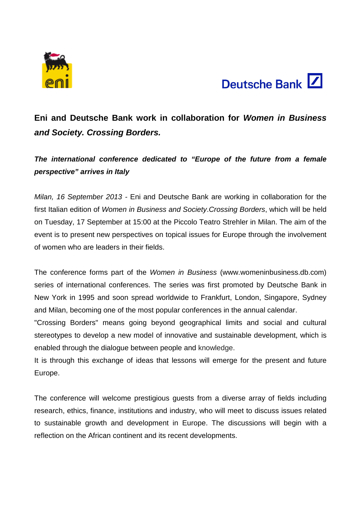



# **Eni and Deutsche Bank work in collaboration for** *Women in Business and Society. Crossing Borders.*

# *The international conference dedicated to "Europe of the future from a female perspective" arrives in Italy*

*Milan, 16 September 2013 -* Eni and Deutsche Bank are working in collaboration for the first Italian edition of *Women in Business and Society*.*Crossing Borders*, which will be held on Tuesday, 17 September at 15:00 at the Piccolo Teatro Strehler in Milan. The aim of the event is to present new perspectives on topical issues for Europe through the involvement of women who are leaders in their fields.

The conference forms part of the *Women in Business* (www.womeninbusiness.db.com) series of international conferences. The series was first promoted by Deutsche Bank in New York in 1995 and soon spread worldwide to Frankfurt, London, Singapore, Sydney and Milan, becoming one of the most popular conferences in the annual calendar.

"Crossing Borders" means going beyond geographical limits and social and cultural stereotypes to develop a new model of innovative and sustainable development, which is enabled through the dialogue between people and knowledge.

It is through this exchange of ideas that lessons will emerge for the present and future Europe.

The conference will welcome prestigious guests from a diverse array of fields including research, ethics, finance, institutions and industry, who will meet to discuss issues related to sustainable growth and development in Europe. The discussions will begin with a reflection on the African continent and its recent developments.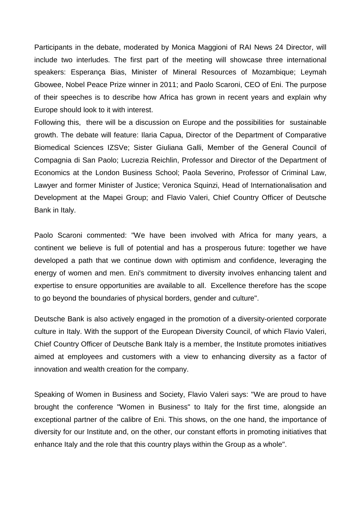Participants in the debate, moderated by Monica Maggioni of RAI News 24 Director, will include two interludes. The first part of the meeting will showcase three international speakers: Esperança Bias, Minister of Mineral Resources of Mozambique; Leymah Gbowee, Nobel Peace Prize winner in 2011; and Paolo Scaroni, CEO of Eni. The purpose of their speeches is to describe how Africa has grown in recent years and explain why Europe should look to it with interest.

Following this, there will be a discussion on Europe and the possibilities for sustainable growth. The debate will feature: Ilaria Capua, Director of the Department of Comparative Biomedical Sciences IZSVe; Sister Giuliana Galli, Member of the General Council of Compagnia di San Paolo; Lucrezia Reichlin, Professor and Director of the Department of Economics at the London Business School; Paola Severino, Professor of Criminal Law, Lawyer and former Minister of Justice; Veronica Squinzi, Head of Internationalisation and Development at the Mapei Group; and Flavio Valeri, Chief Country Officer of Deutsche Bank in Italy.

Paolo Scaroni commented: "We have been involved with Africa for many years, a continent we believe is full of potential and has a prosperous future: together we have developed a path that we continue down with optimism and confidence, leveraging the energy of women and men. Eni's commitment to diversity involves enhancing talent and expertise to ensure opportunities are available to all. Excellence therefore has the scope to go beyond the boundaries of physical borders, gender and culture".

Deutsche Bank is also actively engaged in the promotion of a diversity-oriented corporate culture in Italy. With the support of the European Diversity Council, of which Flavio Valeri, Chief Country Officer of Deutsche Bank Italy is a member, the Institute promotes initiatives aimed at employees and customers with a view to enhancing diversity as a factor of innovation and wealth creation for the company.

Speaking of Women in Business and Society, Flavio Valeri says: "We are proud to have brought the conference "Women in Business" to Italy for the first time, alongside an exceptional partner of the calibre of Eni. This shows, on the one hand, the importance of diversity for our Institute and, on the other, our constant efforts in promoting initiatives that enhance Italy and the role that this country plays within the Group as a whole".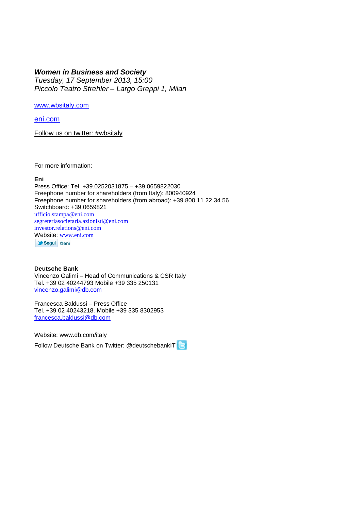## *Women in Business and Society*

*Tuesday, 17 September 2013, 15:00 Piccolo Teatro Strehler – Largo Greppi 1, Milan*

[www.wbsitaly.com](http://www.wbsitaly.com/)

[eni.com](http://eni.com/)

Follow us on twitter: #wbsitaly

For more information:

#### **Eni**

Press Office: Tel. +39.0252031875 – +39.0659822030 Freephone number for shareholders (from Italy): 800940924 Freephone number for shareholders (from abroad): +39.800 11 22 34 56 Switchboard: +39.0659821 [ufficio.stampa@eni.com](mailto:ufficio.stampa@eni.com) [segreteriasocietaria.azionisti@eni.com](mailto:segreteriasocietaria.azionisti@eni.com) [investor.relations@eni.com](mailto:investor.relations@eni.com) [Website:](https://twitter.com/) [www.eni.com](http://www.eni.com/) Segui @eni

### **Deutsche Bank**

Vincenzo Galimi – Head of Communications & CSR Italy Tel. +39 02 40244793 Mobile +39 335 250131 [vincenzo.galimi@db.com](mailto:vincenzo.galimi@db.com)

Francesca Baldussi – Press Office Tel. +39 02 40243218. Mobile +39 335 8302953 [francesca.baldussi@db.com](mailto:francesca.baldussi@db.com)

Website: [www.db.com/italy](http://www.db.com/italy)

Follow Deutsche Bank on Twitter: @deutschebankIT